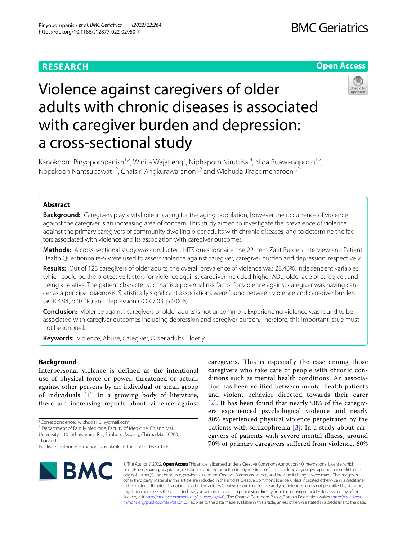## **RESEARCH**

## **Open Access**



# Violence against caregivers of older adults with chronic diseases is associated with caregiver burden and depression: a cross-sectional study

Kanokporn Pinyopornpanish<sup>1,2</sup>, Winita Wajatieng<sup>3</sup>, Niphaporn Niruttisai<sup>4</sup>, Nida Buawangpong<sup>1,2</sup>, Nopakoon Nantsupawat<sup>1,2</sup>, Chaisiri Angkurawaranon<sup>1,2</sup> and Wichuda Jiraporncharoen<sup>1,2\*</sup>

## **Abstract**

**Background:** Caregivers play a vital role in caring for the aging population, however the occurrence of violence against the caregiver is an increasing area of concern. This study aimed to investigate the prevalence of violence against the primary caregivers of community dwelling older adults with chronic diseases, and to determine the factors associated with violence and its association with caregiver outcomes.

**Methods:** A cross-sectional study was conducted. HITS questionnaire, the 22-item Zarit Burden Interview and Patient Health Questionnaire-9 were used to assess violence against caregiver, caregiver burden and depression, respectively.

**Results:** Out of 123 caregivers of older adults, the overall prevalence of violence was 28.46%. Independent variables which could be the protective factors for violence against caregiver included higher ADL, older age of caregiver, and being a relative. The patient characteristic that is a potential risk factor for violence against caregiver was having cancer as a principal diagnosis. Statistically signifcant associations were found between violence and caregiver burden (aOR 4.94, p 0.004) and depression (aOR 7.03, p 0.006).

**Conclusion:** Violence against caregivers of older adults is not uncommon. Experiencing violence was found to be associated with caregiver outcomes including depression and caregiver burden. Therefore, this important issue must not be ignored.

**Keywords:** Violence, Abuse, Caregiver, Older adults, Elderly

## **Background**

Interpersonal violence is defined as the intentional use of physical force or power, threatened or actual, against other persons by an individual or small group of individuals [\[1\]](#page-5-0). In a growing body of literature, there are increasing reports about violence against

<sup>1</sup> Department of Family Medicine, Faculty of Medicine, Chiang Mai University, 110 Inthawarorot Rd., Sriphum, Muang, Chiang Mai 50200, caregivers. This is especially the case among those caregivers who take care of people with chronic conditions such as mental health conditions. An association has been verified between mental health patients and violent behavior directed towards their carer [[2](#page-5-1)]. It has been found that nearly 90% of the caregivers experienced psychological violence and nearly 80% experienced physical violence perpetrated by the patients with schizophrenia [[3](#page-5-2)]. In a study about caregivers of patients with severe mental illness, around 70% of primary caregivers suffered from violence, 60%



© The Author(s) 2022. **Open Access** This article is licensed under a Creative Commons Attribution 4.0 International License, which permits use, sharing, adaptation, distribution and reproduction in any medium or format, as long as you give appropriate credit to the original author(s) and the source, provide a link to the Creative Commons licence, and indicate if changes were made. The images or other third party material in this article are included in the article's Creative Commons licence, unless indicated otherwise in a credit line to the material. If material is not included in the article's Creative Commons licence and your intended use is not permitted by statutory regulation or exceeds the permitted use, you will need to obtain permission directly from the copyright holder. To view a copy of this licence, visit [http://creativecommons.org/licenses/by/4.0/.](http://creativecommons.org/licenses/by/4.0/) The Creative Commons Public Domain Dedication waiver ([http://creativeco](http://creativecommons.org/publicdomain/zero/1.0/) [mmons.org/publicdomain/zero/1.0/](http://creativecommons.org/publicdomain/zero/1.0/)) applies to the data made available in this article, unless otherwise stated in a credit line to the data.

<sup>\*</sup>Correspondence: wichudaj131@gmail.com

Thailand

Full list of author information is available at the end of the article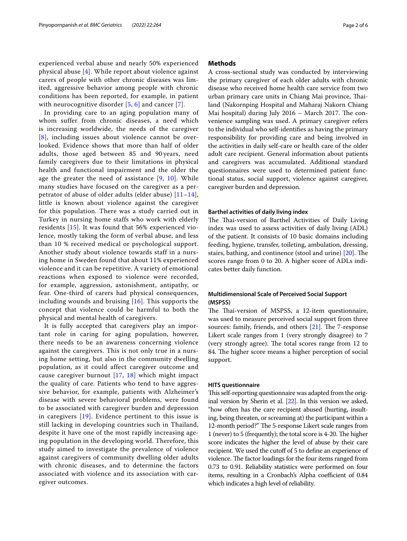experienced verbal abuse and nearly 50% experienced physical abuse [[4](#page-5-3)]. While report about violence against carers of people with other chronic diseases was limited, aggressive behavior among people with chronic conditions has been reported, for example, in patient with neurocognitive disorder [[5,](#page-5-4) [6\]](#page-5-5) and cancer [[7](#page-5-6)].

In providing care to an aging population many of whom suffer from chronic diseases, a need which is increasing worldwide, the needs of the caregiver [[8](#page-5-7)], including issues about violence cannot be overlooked. Evidence shows that more than half of older adults, those aged between 85 and 90 years, need family caregivers due to their limitations in physical health and functional impairment and the older the age the greater the need of assistance  $[9, 10]$  $[9, 10]$  $[9, 10]$  $[9, 10]$ . While many studies have focused on the caregiver as a perpetrator of abuse of older adults (elder abuse)  $[11-14]$  $[11-14]$ , little is known about violence against the caregiver for this population. There was a study carried out in Turkey in nursing home staffs who work with elderly residents [[15](#page-5-12)]. It was found that 56% experienced violence, mostly taking the form of verbal abuse, and less than 10 % received medical or psychological support. Another study about violence towards staff in a nursing home in Sweden found that about 11% experienced violence and it can be repetitive. A variety of emotional reactions when exposed to violence were recorded, for example, aggression, astonishment, antipathy, or fear. One-third of carers had physical consequences, including wounds and bruising [[16](#page-5-13)]. This supports the concept that violence could be harmful to both the physical and mental health of caregivers.

It is fully accepted that caregivers play an important role in caring for aging population, however, there needs to be an awareness concerning violence against the caregivers. This is not only true in a nursing home setting, but also in the community dwelling population, as it could affect caregiver outcome and cause caregiver burnout [[17](#page-5-14), [18\]](#page-5-15) which might impact the quality of care. Patients who tend to have aggressive behavior, for example, patients with Alzheimer's disease with severe behavioral problems, were found to be associated with caregiver burden and depression in caregivers [[19](#page-5-16)]. Evidence pertinent to this issue is still lacking in developing countries such in Thailand, despite it have one of the most rapidly increasing ageing population in the developing world. Therefore, this study aimed to investigate the prevalence of violence against caregivers of community dwelling older adults with chronic diseases, and to determine the factors associated with violence and its association with caregiver outcomes.

## **Methods**

A cross-sectional study was conducted by interviewing the primary caregiver of each older adults with chronic disease who received home health care service from two urban primary care units in Chiang Mai province, Tailand (Nakornping Hospital and Maharaj Nakorn Chiang Mai hospital) during July  $2016$  – March 2017. The convenience sampling was used. A primary caregiver refers to the individual who self-identifes as having the primary responsibility for providing care and being involved in the activities in daily self-care or health care of the older adult care recipient. General information about patients and caregivers was accumulated. Additional standard questionnaires were used to determined patient functional status, social support, violence against caregiver, caregiver burden and depression.

## **Barthel activities of daily living index**

The Thai-version of Barthel Activities of Daily Living index was used to assess activities of daily living (ADL) of the patient. It consists of 10 basic domains including feeding, hygiene, transfer, toileting, ambulation, dressing, stairs, bathing, and continence (stool and urine) [[20](#page-5-17)]. The scores range from 0 to 20. A higher score of ADLs indicates better daily function.

## **Multidimensional Scale of Perceived Social Support (MSPSS)**

The Thai-version of MSPSS, a 12-item questionnaire, was used to measure perceived social support from three sources: family, friends, and others  $[21]$  $[21]$  $[21]$ . The 7-response Likert scale ranges from 1 (very strongly disagree) to 7 (very strongly agree). The total scores range from 12 to 84. The higher score means a higher perception of social support.

## **HITS questionnaire**

This self-reporting questionnaire was adapted from the original version by Sherin et al. [\[22\]](#page-5-19). In this version we asked, "how often has the care recipient abused (hurting, insulting, being threaten, or screaming at) the participant within a 12-month period?" The 5-response Likert scale ranges from 1 (never) to 5 (frequently); the total score is 4-20. The higher score indicates the higher the level of abuse by their care recipient. We used the cutoff of 5 to define an experience of violence. The factor loadings for the four items ranged from 0.73 to 0.91. Reliability statistics were performed on four items, resulting in a Cronbach's Alpha coefficient of 0.84 which indicates a high level of reliability.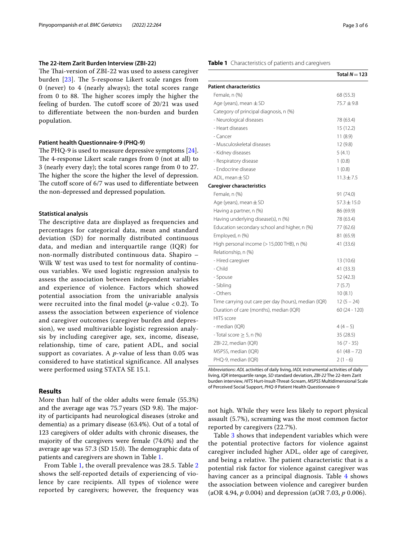## **The 22‑item Zarit Burden Interview (ZBI‑22)**

The Thai-version of ZBI-22 was used to assess caregiver burden  $[23]$  $[23]$ . The 5-response Likert scale ranges from 0 (never) to 4 (nearly always); the total scores range from 0 to 88. The higher scores imply the higher the feeling of burden. The cutoff score of  $20/21$  was used to diferentiate between the non-burden and burden population.

## **Patient health Questionnaire‑9 (PHQ‑9)**

The PHQ-9 is used to measure depressive symptoms  $[24]$  $[24]$ . The 4-response Likert scale ranges from  $0$  (not at all) to 3 (nearly every day); the total scores range from 0 to 27. The higher the score the higher the level of depression. The cutoff score of 6/7 was used to differentiate between the non-depressed and depressed population.

## **Statistical analysis**

The descriptive data are displayed as frequencies and percentages for categorical data, mean and standard deviation (SD) for normally distributed continuous data, and median and interquartile range (IQR) for non-normally distributed continuous data. Shapiro – Wilk W test was used to test for normality of continuous variables. We used logistic regression analysis to assess the association between independent variables and experience of violence. Factors which showed potential association from the univariable analysis were recruited into the final model (*p*-value < 0.2). To assess the association between experience of violence and caregiver outcomes (caregiver burden and depression), we used multivariable logistic regression analysis by including caregiver age, sex, income, disease, relationship, time of care, patient ADL, and social support as covariates. A *p*-value of less than 0.05 was considered to have statistical significance. All analyses were performed using STATA SE 15.1.

## **Results**

More than half of the older adults were female (55.3%) and the average age was  $75.7$  years (SD 9.8). The majority of participants had neurological diseases (stroke and dementia) as a primary disease (63.4%). Out of a total of 123 caregivers of older adults with chronic diseases, the majority of the caregivers were female (74.0%) and the average age was 57.3 (SD 15.0). The demographic data of patients and caregivers are shown in Table [1](#page-2-0).

From Table [1](#page-2-0), the overall prevalence was 28.5. Table [2](#page-3-0) shows the self-reported details of experiencing of violence by care recipients. All types of violence were reported by caregivers; however, the frequency was

## <span id="page-2-0"></span>**Table 1** Characteristics of patients and caregivers

|                                                      | Total $N = 123$ |
|------------------------------------------------------|-----------------|
| <b>Patient characteristics</b>                       |                 |
| Female, n (%)                                        | 68 (55.3)       |
| Age (years), mean $\pm$ SD                           | 75.7 ± 9.8      |
| Category of principal diagnosis, n (%)               |                 |
| - Neurological diseases                              | 78 (63.4)       |
| - Heart diseases                                     | 15 (12.2)       |
| - Cancer                                             | 11(8.9)         |
| - Musculoskeletal diseases                           | 12(9.8)         |
| - Kidney diseases                                    | 5(4.1)          |
| - Respiratory disease                                | 1(0.8)          |
| - Endocrine disease                                  | 1(0.8)          |
| $ADL$ , mean $\pm SD$                                | $11.3 \pm 7.5$  |
| <b>Caregiver characteristics</b>                     |                 |
| Female, n (%)                                        | 91 (74.0)       |
| Age (years), mean $\pm$ SD                           | $57.3 \pm 15.0$ |
| Having a partner, n (%)                              | 86 (69.9)       |
| Having underlying disease(s), n (%)                  | 78 (63.4)       |
| Education secondary school and higher, n (%)         | 77 (62.6)       |
| Employed, n (%)                                      | 81 (65.9)       |
| High personal income (> 15,000 THB), n (%)           | 41 (33.6)       |
| Relationship, n (%)                                  |                 |
| - Hired caregiver                                    | 13 (10.6)       |
| - Child                                              | 41 (33.3)       |
| - Spouse                                             | 52 (42.3)       |
| - Sibling                                            | 7(5.7)          |
| - Others                                             | 10(8.1)         |
| Time carrying out care per day (hours), median (IQR) | $12(5 - 24)$    |
| Duration of care (months), median (IQR)              | $60(24 - 120)$  |
| <b>HITS</b> score                                    |                 |
| - median (IQR)                                       | $4(4-5)$        |
| - Total score $\geq$ 5, n (%)                        | 35 (28.5)       |
| ZBI-22, median (IQR)                                 | $16(7 - 35)$    |
| MSPSS, median (IQR)                                  | $61(48 - 72)$   |
| PHQ-9, median (IQR)                                  | $2(1-6)$        |

*Abbreviations*: *ADL* activities of daily living, *IADL* instrumental activities of daily living, *IQR* interquartile range, *SD* standard deviation, *ZBI-22* The 22-item Zarit burden interview, *HITS* Hurt-Insult-Threat-Scream, *MSPSS* Multidimensional Scale of Perceived Social Support, *PHQ-9* Patient Health Questionnaire-9

not high. While they were less likely to report physical assault (5.7%), screaming was the most common factor reported by caregivers (22.7%).

Table [3](#page-3-1) shows that independent variables which were the potential protective factors for violence against caregiver included higher ADL, older age of caregiver, and being a relative. The patient characteristic that is a potential risk factor for violence against caregiver was having cancer as a principal diagnosis. Table [4](#page-3-2) shows the association between violence and caregiver burden (aOR 4.94, *p* 0.004) and depression (aOR 7.03, *p* 0.006).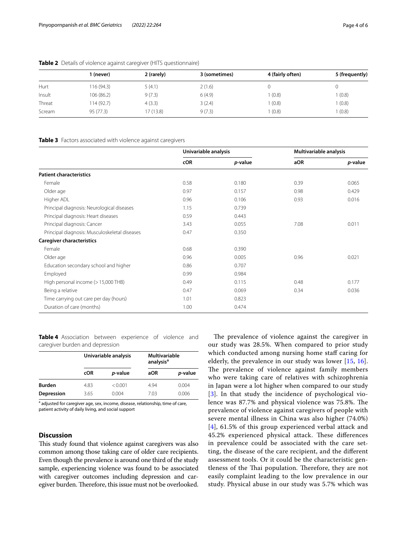|        | (never)    | 2 (rarely) | 3 (sometimes) | 4 (fairly often) | 5 (frequently) |
|--------|------------|------------|---------------|------------------|----------------|
| Hurt   | 116 (94.3) | 5(4.1)     | 2(1.6)        |                  | 0              |
| Insult | 106 (86.2) | 9(7.3)     | 6(4.9)        | (0.8)            | (0.8)          |
| Threat | 114 (92.7) | 4(3.3)     | 3(2.4)        | (0.8)            | (0.8)          |
| Scream | 95 (77.3)  | 17 (13.8)  | 9(7.3)        | (0.8)            | (0.8)          |

## <span id="page-3-0"></span>**Table 2** Details of violence against caregiver (HITS questionnaire)

## <span id="page-3-1"></span>**Table 3** Factors associated with violence against caregivers

|                                               | Univariable analysis |         | Multivariable analysis |                 |
|-----------------------------------------------|----------------------|---------|------------------------|-----------------|
|                                               | <b>cOR</b>           | p-value | aOR                    | <i>p</i> -value |
| <b>Patient characteristics</b>                |                      |         |                        |                 |
| Female                                        | 0.58                 | 0.180   | 0.39                   | 0.065           |
| Older age                                     | 0.97                 | 0.157   | 0.98                   | 0.429           |
| Higher ADL                                    | 0.96                 | 0.106   | 0.93                   | 0.016           |
| Principal diagnosis: Neurological diseases    | 1.15                 | 0.739   |                        |                 |
| Principal diagnosis: Heart diseases           | 0.59                 | 0.443   |                        |                 |
| Principal diagnosis: Cancer                   | 3.43                 | 0.055   | 7.08                   | 0.011           |
| Principal diagnosis: Musculoskeletal diseases | 0.47                 | 0.350   |                        |                 |
| <b>Caregiver characteristics</b>              |                      |         |                        |                 |
| Female                                        | 0.68                 | 0.390   |                        |                 |
| Older age                                     | 0.96                 | 0.005   | 0.96                   | 0.021           |
| Education secondary school and higher         | 0.86                 | 0.707   |                        |                 |
| Employed                                      | 0.99                 | 0.984   |                        |                 |
| High personal income (> 15,000 THB)           | 0.49                 | 0.115   | 0.48                   | 0.177           |
| Being a relative                              | 0.47                 | 0.069   | 0.34                   | 0.036           |
| Time carrying out care per day (hours)        | 1.01                 | 0.823   |                        |                 |
| Duration of care (months)                     | 1.00                 | 0.474   |                        |                 |

<span id="page-3-2"></span>**Table 4** Association between experience of violence and caregiver burden and depression

|               | Univariable analysis |         | <b>Multivariable</b><br>analysis <sup>a</sup> |         |
|---------------|----------------------|---------|-----------------------------------------------|---------|
|               | cOR                  | p-value | aOR                                           | p-value |
| <b>Burden</b> | 4.83                 | < 0.001 | 4 9 4                                         | 0.004   |
| Depression    | 3.65                 | 0.004   | 7.03                                          | 0.006   |

<sup>a</sup> adjusted for caregiver age, sex, income, disease, relationship, time of care, patient activity of daily living, and social support

## **Discussion**

This study found that violence against caregivers was also common among those taking care of older care recipients. Even though the prevalence is around one third of the study sample, experiencing violence was found to be associated with caregiver outcomes including depression and caregiver burden. Therefore, this issue must not be overlooked.

The prevalence of violence against the caregiver in our study was 28.5%. When compared to prior study which conducted among nursing home staff caring for elderly, the prevalence in our study was lower [\[15](#page-5-12), [16](#page-5-13)]. The prevalence of violence against family members who were taking care of relatives with schizophrenia in Japan were a lot higher when compared to our study [[3](#page-5-2)]. In that study the incidence of psychological violence was 87.7% and physical violence was 75.8%. The prevalence of violence against caregivers of people with severe mental illness in China was also higher (74.0%) [[4](#page-5-3)], 61.5% of this group experienced verbal attack and 45.2% experienced physical attack. These differences in prevalence could be associated with the care setting, the disease of the care recipient, and the diferent assessment tools. Or it could be the characteristic gentleness of the Thai population. Therefore, they are not easily complaint leading to the low prevalence in our study. Physical abuse in our study was 5.7% which was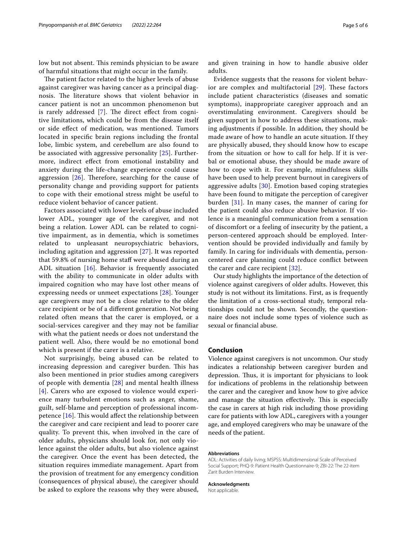low but not absent. This reminds physician to be aware of harmful situations that might occur in the family.

The patient factor related to the higher levels of abuse against caregiver was having cancer as a principal diagnosis. The literature shows that violent behavior in cancer patient is not an uncommon phenomenon but is rarely addressed  $[7]$  $[7]$ . The direct effect from cognitive limitations, which could be from the disease itself or side efect of medication, was mentioned. Tumors located in specifc brain regions including the frontal lobe, limbic system, and cerebellum are also found to be associated with aggressive personality [[25\]](#page-5-22). Furthermore, indirect efect from emotional instability and anxiety during the life-change experience could cause aggression  $[26]$  $[26]$ . Therefore, searching for the cause of personality change and providing support for patients to cope with their emotional stress might be useful to reduce violent behavior of cancer patient.

Factors associated with lower levels of abuse included lower ADL, younger age of the caregiver, and not being a relation. Lower ADL can be related to cognitive impairment, as in dementia, which is sometimes related to unpleasant neuropsychiatric behaviors, including agitation and aggression [[27\]](#page-5-24). It was reported that 59.8% of nursing home staf were abused during an ADL situation [[16](#page-5-13)]. Behavior is frequently associated with the ability to communicate in older adults with impaired cognition who may have lost other means of expressing needs or unmeet expectations [[28](#page-5-25)]. Younger age caregivers may not be a close relative to the older care recipient or be of a diferent generation. Not being related often means that the carer is employed, or a social-services caregiver and they may not be familiar with what the patient needs or does not understand the patient well. Also, there would be no emotional bond which is present if the carer is a relative.

Not surprisingly, being abused can be related to increasing depression and caregiver burden. This has also been mentioned in prior studies among caregivers of people with dementia [\[28](#page-5-25)] and mental health illness [[4](#page-5-3)]. Carers who are exposed to violence would experience many turbulent emotions such as anger, shame, guilt, self-blame and perception of professional incompetence  $[16]$  $[16]$  $[16]$ . This would affect the relationship between the caregiver and care recipient and lead to poorer care quality. To prevent this, when involved in the care of older adults, physicians should look for, not only violence against the older adults, but also violence against the caregiver. Once the event has been detected, the situation requires immediate management. Apart from the provision of treatment for any emergency condition (consequences of physical abuse), the caregiver should be asked to explore the reasons why they were abused, and given training in how to handle abusive older adults.

Evidence suggests that the reasons for violent behavior are complex and multifactorial  $[29]$  $[29]$ . These factors include patient characteristics (diseases and somatic symptoms), inappropriate caregiver approach and an overstimulating environment. Caregivers should be given support in how to address these situations, making adjustments if possible. In addition, they should be made aware of how to handle an acute situation. If they are physically abused, they should know how to escape from the situation or how to call for help. If it is verbal or emotional abuse, they should be made aware of how to cope with it. For example, mindfulness skills have been used to help prevent burnout in caregivers of aggressive adults [\[30](#page-5-27)]. Emotion based coping strategies have been found to mitigate the perception of caregiver burden [[31](#page-5-28)]. In many cases, the manner of caring for the patient could also reduce abusive behavior. If violence is a meaningful communication from a sensation of discomfort or a feeling of insecurity by the patient, a person-centered approach should be employed. Intervention should be provided individually and family by family. In caring for individuals with dementia, personcentered care planning could reduce confict between the carer and care recipient [\[32](#page-5-29)].

Our study highlights the importance of the detection of violence against caregivers of older adults. However, this study is not without its limitations. First, as is frequently the limitation of a cross-sectional study, temporal relationships could not be shown. Secondly, the questionnaire does not include some types of violence such as sexual or fnancial abuse.

## **Conclusion**

Violence against caregivers is not uncommon. Our study indicates a relationship between caregiver burden and depression. Thus, it is important for physicians to look for indications of problems in the relationship between the carer and the caregiver and know how to give advice and manage the situation effectively. This is especially the case in carers at high risk including those providing care for patients with low ADL, caregivers with a younger age, and employed caregivers who may be unaware of the needs of the patient.

## **Abbreviations**

ADL: Activities of daily living; MSPSS: Multidimensional Scale of Perceived Social Support; PHQ-9: Patient Health Questionnaire-9; ZBI-22: The 22-item Zarit Burden Interview.

## **Acknowledgments**

Not applicable.